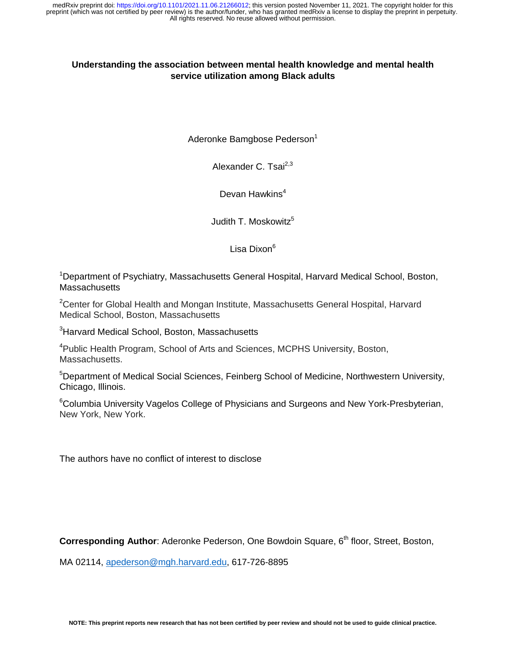### **Understanding the association between mental health knowledge and mental health service utilization among Black adults**

Aderonke Bamgbose Pederson<sup>1</sup>

Alexander C. Tsai $^{2,3}$ 

Devan Hawkins $4$ 

Judith T. Moskowitz<sup>5</sup>

Lisa Dixon<sup>6</sup>

<sup>1</sup>Department of Psychiatry, Massachusetts General Hospital, Harvard Medical School, Boston, **Massachusetts** 

<sup>2</sup>Center for Global Health and Mongan Institute, Massachusetts General Hospital, Harvard Medical School, Boston, Massachusetts

<sup>3</sup>Harvard Medical School, Boston, Massachusetts

<sup>4</sup>Public Health Program, School of Arts and Sciences, MCPHS University, Boston, Massachusetts.

<sup>5</sup>Department of Medical Social Sciences, Feinberg School of Medicine, Northwestern University, Chicago, Illinois.

<sup>6</sup>Columbia University Vagelos College of Physicians and Surgeons and New York-Presbyterian, New York, New York.

The authors have no conflict of interest to disclose

**Corresponding Author:** Aderonke Pederson, One Bowdoin Square, 6<sup>th</sup> floor, Street, Boston,

MA 02114, apederson@mgh.harvard.edu, 617-726-8895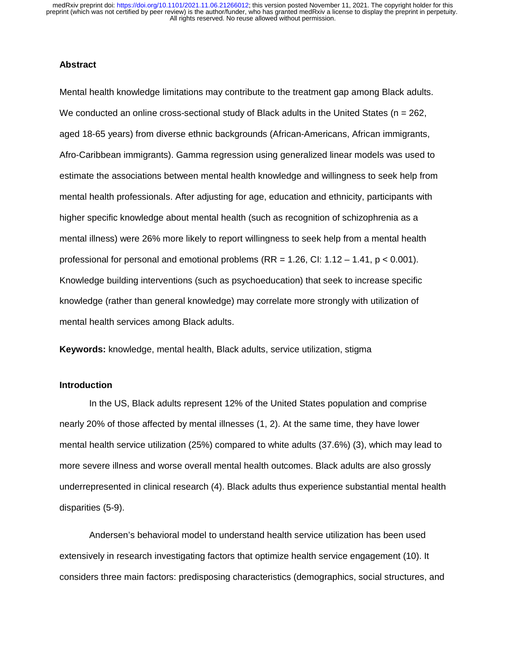### **Abstract**

Mental health knowledge limitations may contribute to the treatment gap among Black adults. We conducted an online cross-sectional study of Black adults in the United States ( $n = 262$ , aged 18-65 years) from diverse ethnic backgrounds (African-Americans, African immigrants, Afro-Caribbean immigrants). Gamma regression using generalized linear models was used to estimate the associations between mental health knowledge and willingness to seek help from mental health professionals. After adjusting for age, education and ethnicity, participants with higher specific knowledge about mental health (such as recognition of schizophrenia as a mental illness) were 26% more likely to report willingness to seek help from a mental health professional for personal and emotional problems  $(RR = 1.26, Cl: 1.12 - 1.41, p < 0.001)$ . Knowledge building interventions (such as psychoeducation) that seek to increase specific knowledge (rather than general knowledge) may correlate more strongly with utilization of mental health services among Black adults.

**Keywords:** knowledge, mental health, Black adults, service utilization, stigma

### **Introduction**

In the US, Black adults represent 12% of the United States population and comprise nearly 20% of those affected by mental illnesses (1, 2). At the same time, they have lower mental health service utilization (25%) compared to white adults (37.6%) (3), which may lead to more severe illness and worse overall mental health outcomes. Black adults are also grossly underrepresented in clinical research (4). Black adults thus experience substantial mental health disparities (5-9).

Andersen's behavioral model to understand health service utilization has been used extensively in research investigating factors that optimize health service engagement (10). It considers three main factors: predisposing characteristics (demographics, social structures, and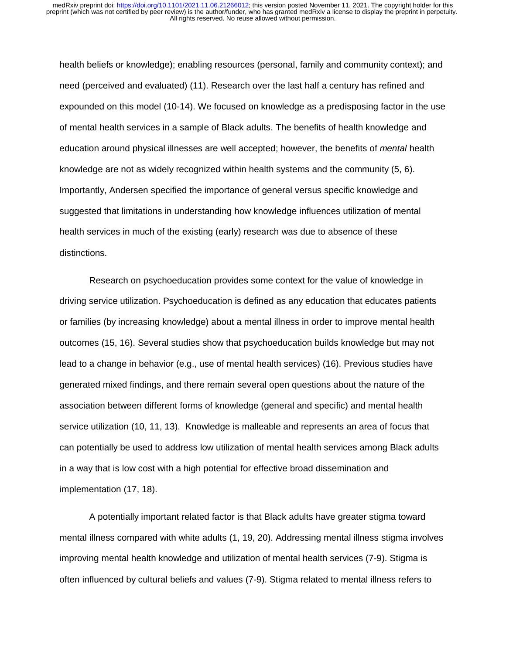health beliefs or knowledge); enabling resources (personal, family and community context); and need (perceived and evaluated) (11). Research over the last half a century has refined and expounded on this model (10-14). We focused on knowledge as a predisposing factor in the use of mental health services in a sample of Black adults. The benefits of health knowledge and education around physical illnesses are well accepted; however, the benefits of *mental* health knowledge are not as widely recognized within health systems and the community (5, 6). Importantly, Andersen specified the importance of general versus specific knowledge and suggested that limitations in understanding how knowledge influences utilization of mental health services in much of the existing (early) research was due to absence of these distinctions.

Research on psychoeducation provides some context for the value of knowledge in driving service utilization. Psychoeducation is defined as any education that educates patients or families (by increasing knowledge) about a mental illness in order to improve mental health outcomes (15, 16). Several studies show that psychoeducation builds knowledge but may not lead to a change in behavior (e.g., use of mental health services) (16). Previous studies have generated mixed findings, and there remain several open questions about the nature of the association between different forms of knowledge (general and specific) and mental health service utilization (10, 11, 13). Knowledge is malleable and represents an area of focus that can potentially be used to address low utilization of mental health services among Black adults in a way that is low cost with a high potential for effective broad dissemination and implementation (17, 18).

A potentially important related factor is that Black adults have greater stigma toward mental illness compared with white adults (1, 19, 20). Addressing mental illness stigma involves improving mental health knowledge and utilization of mental health services (7-9). Stigma is often influenced by cultural beliefs and values (7-9). Stigma related to mental illness refers to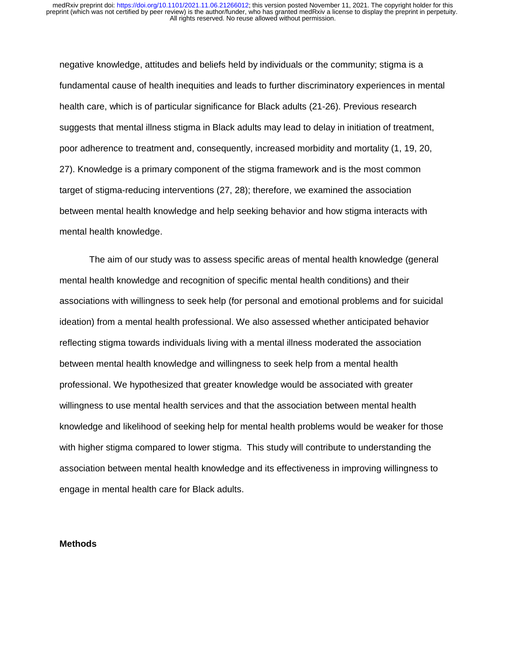negative knowledge, attitudes and beliefs held by individuals or the community; stigma is a fundamental cause of health inequities and leads to further discriminatory experiences in mental health care, which is of particular significance for Black adults (21-26). Previous research suggests that mental illness stigma in Black adults may lead to delay in initiation of treatment, poor adherence to treatment and, consequently, increased morbidity and mortality (1, 19, 20, 27). Knowledge is a primary component of the stigma framework and is the most common target of stigma-reducing interventions (27, 28); therefore, we examined the association between mental health knowledge and help seeking behavior and how stigma interacts with mental health knowledge.

The aim of our study was to assess specific areas of mental health knowledge (general mental health knowledge and recognition of specific mental health conditions) and their associations with willingness to seek help (for personal and emotional problems and for suicidal ideation) from a mental health professional. We also assessed whether anticipated behavior reflecting stigma towards individuals living with a mental illness moderated the association between mental health knowledge and willingness to seek help from a mental health professional. We hypothesized that greater knowledge would be associated with greater willingness to use mental health services and that the association between mental health knowledge and likelihood of seeking help for mental health problems would be weaker for those with higher stigma compared to lower stigma. This study will contribute to understanding the association between mental health knowledge and its effectiveness in improving willingness to engage in mental health care for Black adults.

### **Methods**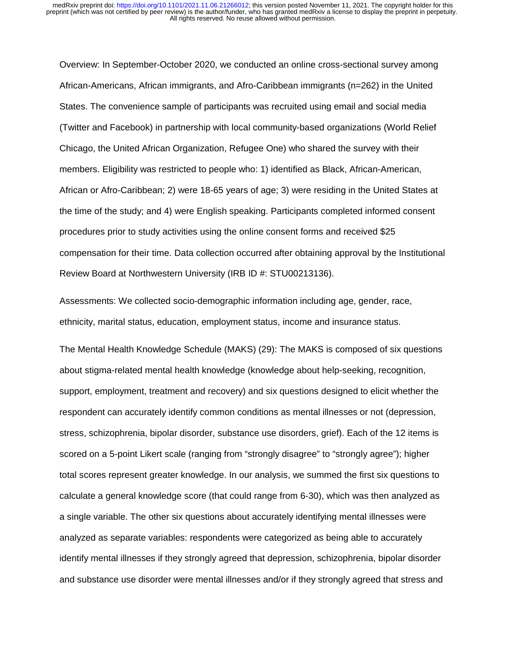Overview: In September-October 2020, we conducted an online cross-sectional survey among African-Americans, African immigrants, and Afro-Caribbean immigrants (n=262) in the United States. The convenience sample of participants was recruited using email and social media (Twitter and Facebook) in partnership with local community-based organizations (World Relief Chicago, the United African Organization, Refugee One) who shared the survey with their members. Eligibility was restricted to people who: 1) identified as Black, African-American, African or Afro-Caribbean; 2) were 18-65 years of age; 3) were residing in the United States at the time of the study; and 4) were English speaking. Participants completed informed consent procedures prior to study activities using the online consent forms and received \$25 compensation for their time. Data collection occurred after obtaining approval by the Institutional Review Board at Northwestern University (IRB ID #: STU00213136).

Assessments: We collected socio-demographic information including age, gender, race, ethnicity, marital status, education, employment status, income and insurance status.

The Mental Health Knowledge Schedule (MAKS) (29): The MAKS is composed of six questions about stigma-related mental health knowledge (knowledge about help-seeking, recognition, support, employment, treatment and recovery) and six questions designed to elicit whether the respondent can accurately identify common conditions as mental illnesses or not (depression, stress, schizophrenia, bipolar disorder, substance use disorders, grief). Each of the 12 items is scored on a 5-point Likert scale (ranging from "strongly disagree" to "strongly agree"); higher total scores represent greater knowledge. In our analysis, we summed the first six questions to calculate a general knowledge score (that could range from 6-30), which was then analyzed as a single variable. The other six questions about accurately identifying mental illnesses were analyzed as separate variables: respondents were categorized as being able to accurately identify mental illnesses if they strongly agreed that depression, schizophrenia, bipolar disorder and substance use disorder were mental illnesses and/or if they strongly agreed that stress and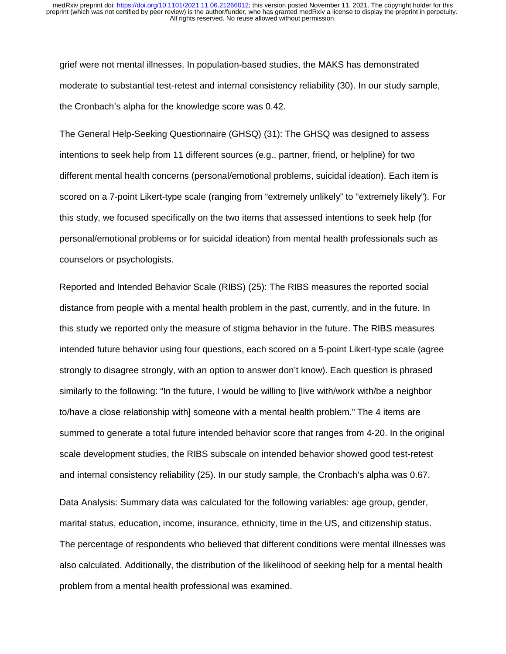grief were not mental illnesses. In population-based studies, the MAKS has demonstrated moderate to substantial test-retest and internal consistency reliability (30). In our study sample, the Cronbach's alpha for the knowledge score was 0.42.

The General Help-Seeking Questionnaire (GHSQ) (31): The GHSQ was designed to assess intentions to seek help from 11 different sources (e.g., partner, friend, or helpline) for two different mental health concerns (personal/emotional problems, suicidal ideation). Each item is scored on a 7-point Likert-type scale (ranging from "extremely unlikely" to "extremely likely"). For this study, we focused specifically on the two items that assessed intentions to seek help (for personal/emotional problems or for suicidal ideation) from mental health professionals such as counselors or psychologists.

Reported and Intended Behavior Scale (RIBS) (25): The RIBS measures the reported social distance from people with a mental health problem in the past, currently, and in the future. In this study we reported only the measure of stigma behavior in the future. The RIBS measures intended future behavior using four questions, each scored on a 5-point Likert-type scale (agree strongly to disagree strongly, with an option to answer don't know). Each question is phrased similarly to the following: "In the future, I would be willing to [live with/work with/be a neighbor to/have a close relationship with] someone with a mental health problem." The 4 items are summed to generate a total future intended behavior score that ranges from 4-20. In the original scale development studies, the RIBS subscale on intended behavior showed good test-retest and internal consistency reliability (25). In our study sample, the Cronbach's alpha was 0.67. Data Analysis: Summary data was calculated for the following variables: age group, gender, marital status, education, income, insurance, ethnicity, time in the US, and citizenship status. The percentage of respondents who believed that different conditions were mental illnesses was

also calculated. Additionally, the distribution of the likelihood of seeking help for a mental health problem from a mental health professional was examined.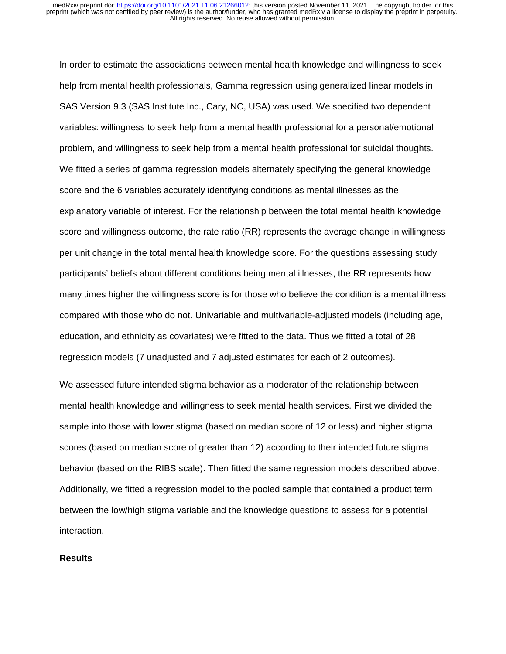In order to estimate the associations between mental health knowledge and willingness to seek help from mental health professionals, Gamma regression using generalized linear models in SAS Version 9.3 (SAS Institute Inc., Cary, NC, USA) was used. We specified two dependent variables: willingness to seek help from a mental health professional for a personal/emotional problem, and willingness to seek help from a mental health professional for suicidal thoughts. We fitted a series of gamma regression models alternately specifying the general knowledge score and the 6 variables accurately identifying conditions as mental illnesses as the explanatory variable of interest. For the relationship between the total mental health knowledge score and willingness outcome, the rate ratio (RR) represents the average change in willingness per unit change in the total mental health knowledge score. For the questions assessing study participants' beliefs about different conditions being mental illnesses, the RR represents how many times higher the willingness score is for those who believe the condition is a mental illness compared with those who do not. Univariable and multivariable-adjusted models (including age, education, and ethnicity as covariates) were fitted to the data. Thus we fitted a total of 28 regression models (7 unadjusted and 7 adjusted estimates for each of 2 outcomes).

We assessed future intended stigma behavior as a moderator of the relationship between mental health knowledge and willingness to seek mental health services. First we divided the sample into those with lower stigma (based on median score of 12 or less) and higher stigma scores (based on median score of greater than 12) according to their intended future stigma behavior (based on the RIBS scale). Then fitted the same regression models described above. Additionally, we fitted a regression model to the pooled sample that contained a product term between the low/high stigma variable and the knowledge questions to assess for a potential interaction.

### **Results**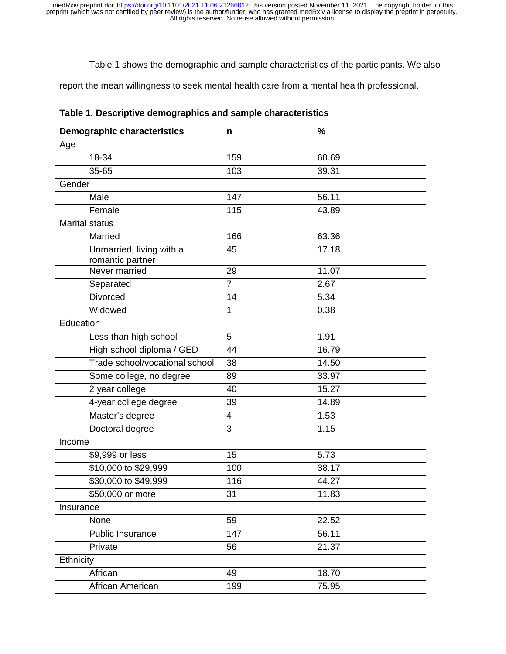Table 1 shows the demographic and sample characteristics of the participants. We also

report the mean willingness to seek mental health care from a mental health professional.

| <b>Demographic characteristics</b>           | n              | $\%$  |
|----------------------------------------------|----------------|-------|
| Age                                          |                |       |
| 18-34                                        | 159            | 60.69 |
| 35-65                                        | 103            | 39.31 |
| Gender                                       |                |       |
| Male                                         | 147            | 56.11 |
| Female                                       | 115            | 43.89 |
| <b>Marital status</b>                        |                |       |
| Married                                      | 166            | 63.36 |
| Unmarried, living with a<br>romantic partner | 45             | 17.18 |
| Never married                                | 29             | 11.07 |
| Separated                                    | $\overline{7}$ | 2.67  |
| <b>Divorced</b>                              | 14             | 5.34  |
| Widowed                                      | $\mathbf 1$    | 0.38  |
| Education                                    |                |       |
| Less than high school                        | 5              | 1.91  |
| High school diploma / GED                    | 44             | 16.79 |
| Trade school/vocational school               | 38             | 14.50 |
| Some college, no degree                      | 89             | 33.97 |
| 2 year college                               | 40             | 15.27 |
| 4-year college degree                        | 39             | 14.89 |
| Master's degree                              | 4              | 1.53  |
| Doctoral degree                              | 3              | 1.15  |
| Income                                       |                |       |
| \$9,999 or less                              | 15             | 5.73  |
| \$10,000 to \$29,999                         | 100            | 38.17 |
| \$30,000 to \$49,999                         | 116            | 44.27 |
| \$50,000 or more                             | 31             | 11.83 |
| Insurance                                    |                |       |
| None                                         | 59             | 22.52 |
| Public Insurance                             | 147            | 56.11 |
| Private                                      | 56             | 21.37 |
| Ethnicity                                    |                |       |
| African                                      | 49             | 18.70 |
| African American                             | 199            | 75.95 |

**Table 1. Descriptive demographics and sample characteristics**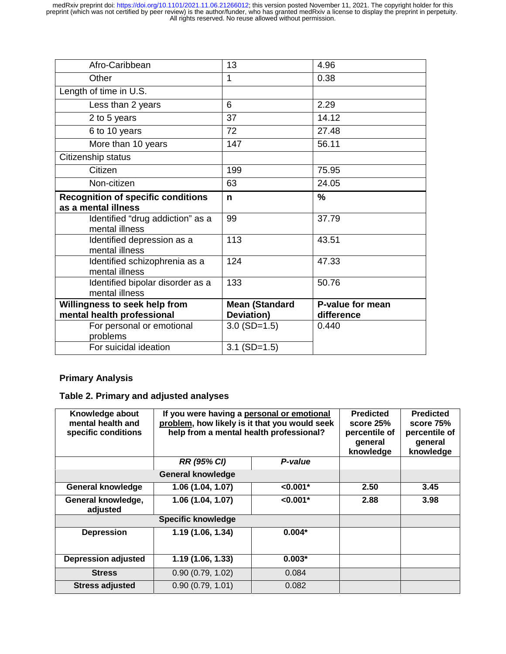| Afro-Caribbean                                                   | 13                    | 4.96             |
|------------------------------------------------------------------|-----------------------|------------------|
| Other                                                            | 1                     | 0.38             |
| Length of time in U.S.                                           |                       |                  |
| Less than 2 years                                                | 6                     | 2.29             |
| 2 to 5 years                                                     | 37                    | 14.12            |
| 6 to 10 years                                                    | 72                    | 27.48            |
| More than 10 years                                               | 147                   | 56.11            |
| Citizenship status                                               |                       |                  |
| Citizen                                                          | 199                   | 75.95            |
| Non-citizen                                                      | 63                    | 24.05            |
| <b>Recognition of specific conditions</b><br>as a mental illness | n                     | $\frac{9}{6}$    |
|                                                                  |                       |                  |
| Identified "drug addiction" as a<br>mental illness               | 99                    | 37.79            |
| Identified depression as a<br>mental illness                     | 113                   | 43.51            |
| Identified schizophrenia as a<br>mental illness                  | 124                   | 47.33            |
| Identified bipolar disorder as a<br>mental illness               | 133                   | 50.76            |
| Willingness to seek help from                                    | <b>Mean (Standard</b> | P-value for mean |
| mental health professional                                       | Deviation)            | difference       |
| For personal or emotional<br>problems<br>For suicidal ideation   | $3.0$ (SD=1.5)        | 0.440            |

## **Primary Analysis**

## **Table 2. Primary and adjusted analyses**

| Knowledge about<br>mental health and<br>specific conditions | If you were having a personal or emotional<br>problem, how likely is it that you would seek<br>help from a mental health professional? | <b>Predicted</b><br>score 25%<br>percentile of<br>general<br>knowledge | <b>Predicted</b><br>score 75%<br>percentile of<br>general<br>knowledge |      |
|-------------------------------------------------------------|----------------------------------------------------------------------------------------------------------------------------------------|------------------------------------------------------------------------|------------------------------------------------------------------------|------|
|                                                             | <b>RR (95% CI)</b>                                                                                                                     | P-value                                                                |                                                                        |      |
|                                                             | <b>General knowledge</b>                                                                                                               |                                                                        |                                                                        |      |
| <b>General knowledge</b>                                    | 1.06 (1.04, 1.07)                                                                                                                      | $< 0.001*$                                                             | 2.50                                                                   | 3.45 |
| General knowledge,<br>adjusted                              | $< 0.001*$<br>1.06 (1.04, 1.07)                                                                                                        |                                                                        | 2.88                                                                   | 3.98 |
|                                                             |                                                                                                                                        |                                                                        |                                                                        |      |
| <b>Depression</b>                                           | 1.19 (1.06, 1.34)                                                                                                                      | $0.004*$                                                               |                                                                        |      |
| <b>Depression adjusted</b>                                  | 1.19(1.06, 1.33)                                                                                                                       | $0.003*$                                                               |                                                                        |      |
| <b>Stress</b>                                               | 0.90(0.79, 1.02)                                                                                                                       | 0.084                                                                  |                                                                        |      |
| <b>Stress adjusted</b>                                      | 0.90(0.79, 1.01)                                                                                                                       | 0.082                                                                  |                                                                        |      |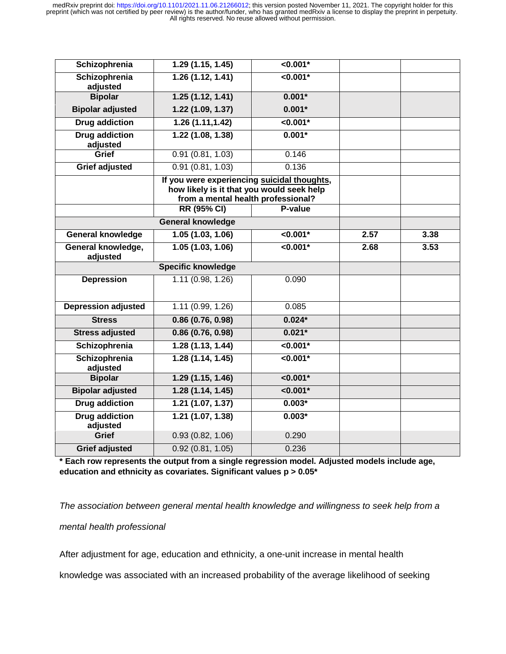| Schizophrenia                     | 1.29(1.15, 1.45)         | $< 0.001*$      |      |      |
|-----------------------------------|--------------------------|-----------------|------|------|
| Schizophrenia<br>adjusted         | 1.26(1.12, 1.41)         | $< 0.001*$      |      |      |
| <b>Bipolar</b>                    | 1.25(1.12, 1.41)         | $0.001*$        |      |      |
| <b>Bipolar adjusted</b>           | 1.22(1.09, 1.37)         | $0.001*$        |      |      |
| <b>Drug addiction</b>             | 1.26(1.11, 1.42)         | $< 0.001*$      |      |      |
| <b>Drug addiction</b><br>adjusted | 1.22(1.08, 1.38)         | $0.001*$        |      |      |
| Grief                             | 0.91(0.81, 1.03)         | 0.146           |      |      |
| <b>Grief adjusted</b>             | 0.91(0.81, 1.03)         | 0.136           |      |      |
|                                   |                          |                 |      |      |
|                                   | RR (95% CI)              | P-value         |      |      |
|                                   | <b>General knowledge</b> |                 |      |      |
| <b>General knowledge</b>          | 1.05(1.03, 1.06)         | $< 0.001*$      | 2.57 | 3.38 |
| General knowledge,<br>adjusted    | 1.05(1.03, 1.06)         | $\sqrt{0.001*}$ | 2.68 | 3.53 |
|                                   |                          |                 |      |      |
| <b>Depression</b>                 | 1.11(0.98, 1.26)         | 0.090           |      |      |
| <b>Depression adjusted</b>        | 1.11(0.99, 1.26)         | 0.085           |      |      |
| <b>Stress</b>                     | 0.86(0.76, 0.98)         | $0.024*$        |      |      |
| <b>Stress adjusted</b>            | 0.86(0.76, 0.98)         | $0.021*$        |      |      |
| Schizophrenia                     | 1.28(1.13, 1.44)         | $\sqrt{0.001*}$ |      |      |
| Schizophrenia<br>adjusted         | 1.28(1.14, 1.45)         | $< 0.001*$      |      |      |
| <b>Bipolar</b>                    | 1.29(1.15, 1.46)         | $< 0.001*$      |      |      |
| <b>Bipolar adjusted</b>           | 1.28(1.14, 1.45)         | $< 0.001*$      |      |      |
| <b>Drug addiction</b>             | 1.21 (1.07, 1.37)        | $0.003*$        |      |      |
| <b>Drug addiction</b><br>adjusted | 1.21(1.07, 1.38)         | $0.003*$        |      |      |
| <b>Grief</b>                      | 0.93(0.82, 1.06)         | 0.290           |      |      |
| <b>Grief adjusted</b>             | 0.92(0.81, 1.05)         | 0.236           |      |      |

**\* Each row represents the output from a single regression model. Adjusted models include age, education and ethnicity as covariates. Significant values p > 0.05\*** 

*The association between general mental health knowledge and willingness to seek help from a mental health professional* 

After adjustment for age, education and ethnicity, a one-unit increase in mental health

knowledge was associated with an increased probability of the average likelihood of seeking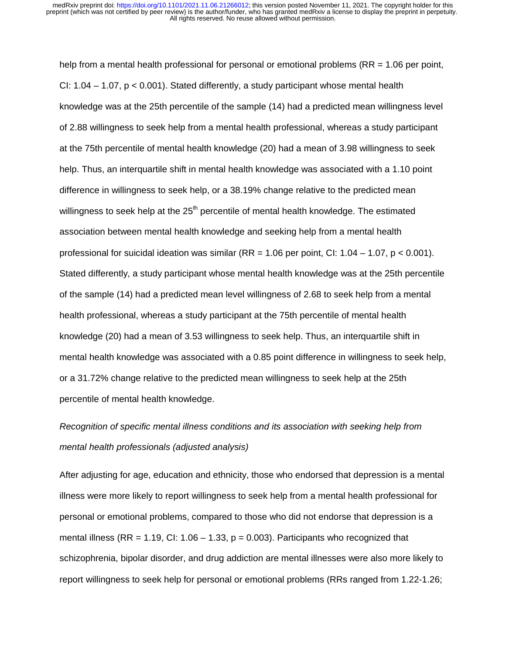help from a mental health professional for personal or emotional problems (RR = 1.06 per point, CI:  $1.04 - 1.07$ ,  $p < 0.001$ ). Stated differently, a study participant whose mental health knowledge was at the 25th percentile of the sample (14) had a predicted mean willingness level of 2.88 willingness to seek help from a mental health professional, whereas a study participant at the 75th percentile of mental health knowledge (20) had a mean of 3.98 willingness to seek help. Thus, an interquartile shift in mental health knowledge was associated with a 1.10 point difference in willingness to seek help, or a 38.19% change relative to the predicted mean willingness to seek help at the  $25<sup>th</sup>$  percentile of mental health knowledge. The estimated association between mental health knowledge and seeking help from a mental health professional for suicidal ideation was similar ( $RR = 1.06$  per point, CI:  $1.04 - 1.07$ ,  $p < 0.001$ ). Stated differently, a study participant whose mental health knowledge was at the 25th percentile of the sample (14) had a predicted mean level willingness of 2.68 to seek help from a mental health professional, whereas a study participant at the 75th percentile of mental health knowledge (20) had a mean of 3.53 willingness to seek help. Thus, an interquartile shift in mental health knowledge was associated with a 0.85 point difference in willingness to seek help, or a 31.72% change relative to the predicted mean willingness to seek help at the 25th percentile of mental health knowledge.

# *Recognition of specific mental illness conditions and its association with seeking help from mental health professionals (adjusted analysis)*

After adjusting for age, education and ethnicity, those who endorsed that depression is a mental illness were more likely to report willingness to seek help from a mental health professional for personal or emotional problems, compared to those who did not endorse that depression is a mental illness (RR = 1.19, CI: 1.06 – 1.33,  $p = 0.003$ ). Participants who recognized that schizophrenia, bipolar disorder, and drug addiction are mental illnesses were also more likely to report willingness to seek help for personal or emotional problems (RRs ranged from 1.22-1.26;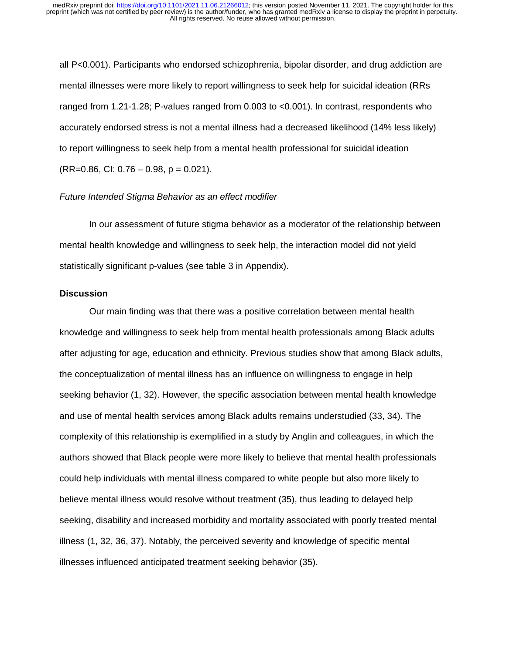all P<0.001). Participants who endorsed schizophrenia, bipolar disorder, and drug addiction are mental illnesses were more likely to report willingness to seek help for suicidal ideation (RRs ranged from 1.21-1.28; P-values ranged from 0.003 to <0.001). In contrast, respondents who accurately endorsed stress is not a mental illness had a decreased likelihood (14% less likely) to report willingness to seek help from a mental health professional for suicidal ideation  $(RR=0.86, C1: 0.76 - 0.98, p = 0.021).$ 

#### *Future Intended Stigma Behavior as an effect modifier*

In our assessment of future stigma behavior as a moderator of the relationship between mental health knowledge and willingness to seek help, the interaction model did not yield statistically significant p-values (see table 3 in Appendix).

### **Discussion**

Our main finding was that there was a positive correlation between mental health knowledge and willingness to seek help from mental health professionals among Black adults after adjusting for age, education and ethnicity. Previous studies show that among Black adults, the conceptualization of mental illness has an influence on willingness to engage in help seeking behavior (1, 32). However, the specific association between mental health knowledge and use of mental health services among Black adults remains understudied (33, 34). The complexity of this relationship is exemplified in a study by Anglin and colleagues, in which the authors showed that Black people were more likely to believe that mental health professionals could help individuals with mental illness compared to white people but also more likely to believe mental illness would resolve without treatment (35), thus leading to delayed help seeking, disability and increased morbidity and mortality associated with poorly treated mental illness (1, 32, 36, 37). Notably, the perceived severity and knowledge of specific mental illnesses influenced anticipated treatment seeking behavior (35).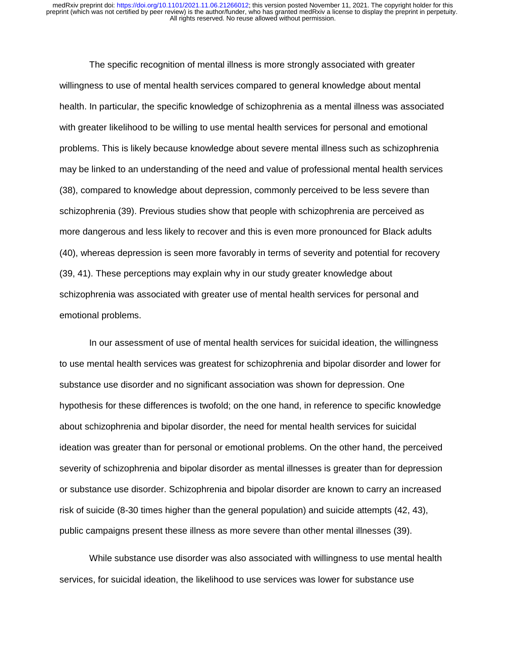The specific recognition of mental illness is more strongly associated with greater willingness to use of mental health services compared to general knowledge about mental health. In particular, the specific knowledge of schizophrenia as a mental illness was associated with greater likelihood to be willing to use mental health services for personal and emotional problems. This is likely because knowledge about severe mental illness such as schizophrenia may be linked to an understanding of the need and value of professional mental health services (38), compared to knowledge about depression, commonly perceived to be less severe than schizophrenia (39). Previous studies show that people with schizophrenia are perceived as more dangerous and less likely to recover and this is even more pronounced for Black adults (40), whereas depression is seen more favorably in terms of severity and potential for recovery (39, 41). These perceptions may explain why in our study greater knowledge about schizophrenia was associated with greater use of mental health services for personal and emotional problems.

In our assessment of use of mental health services for suicidal ideation, the willingness to use mental health services was greatest for schizophrenia and bipolar disorder and lower for substance use disorder and no significant association was shown for depression. One hypothesis for these differences is twofold; on the one hand, in reference to specific knowledge about schizophrenia and bipolar disorder, the need for mental health services for suicidal ideation was greater than for personal or emotional problems. On the other hand, the perceived severity of schizophrenia and bipolar disorder as mental illnesses is greater than for depression or substance use disorder. Schizophrenia and bipolar disorder are known to carry an increased risk of suicide (8-30 times higher than the general population) and suicide attempts (42, 43), public campaigns present these illness as more severe than other mental illnesses (39).

While substance use disorder was also associated with willingness to use mental health services, for suicidal ideation, the likelihood to use services was lower for substance use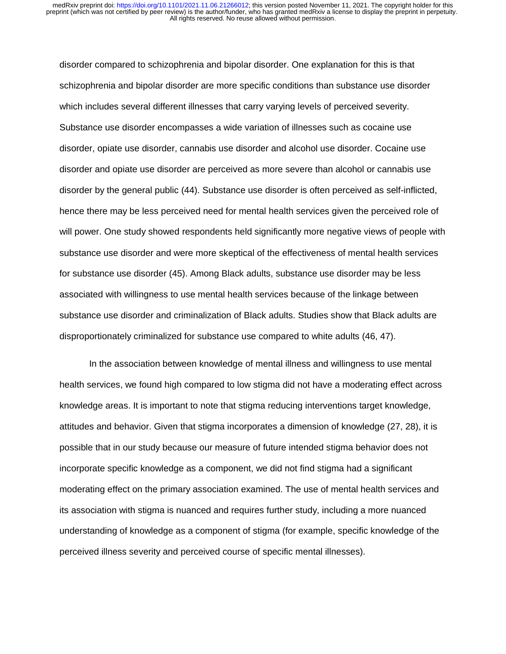disorder compared to schizophrenia and bipolar disorder. One explanation for this is that schizophrenia and bipolar disorder are more specific conditions than substance use disorder which includes several different illnesses that carry varying levels of perceived severity. Substance use disorder encompasses a wide variation of illnesses such as cocaine use disorder, opiate use disorder, cannabis use disorder and alcohol use disorder. Cocaine use disorder and opiate use disorder are perceived as more severe than alcohol or cannabis use disorder by the general public (44). Substance use disorder is often perceived as self-inflicted, hence there may be less perceived need for mental health services given the perceived role of will power. One study showed respondents held significantly more negative views of people with substance use disorder and were more skeptical of the effectiveness of mental health services for substance use disorder (45). Among Black adults, substance use disorder may be less associated with willingness to use mental health services because of the linkage between substance use disorder and criminalization of Black adults. Studies show that Black adults are disproportionately criminalized for substance use compared to white adults (46, 47).

In the association between knowledge of mental illness and willingness to use mental health services, we found high compared to low stigma did not have a moderating effect across knowledge areas. It is important to note that stigma reducing interventions target knowledge, attitudes and behavior. Given that stigma incorporates a dimension of knowledge (27, 28), it is possible that in our study because our measure of future intended stigma behavior does not incorporate specific knowledge as a component, we did not find stigma had a significant moderating effect on the primary association examined. The use of mental health services and its association with stigma is nuanced and requires further study, including a more nuanced understanding of knowledge as a component of stigma (for example, specific knowledge of the perceived illness severity and perceived course of specific mental illnesses).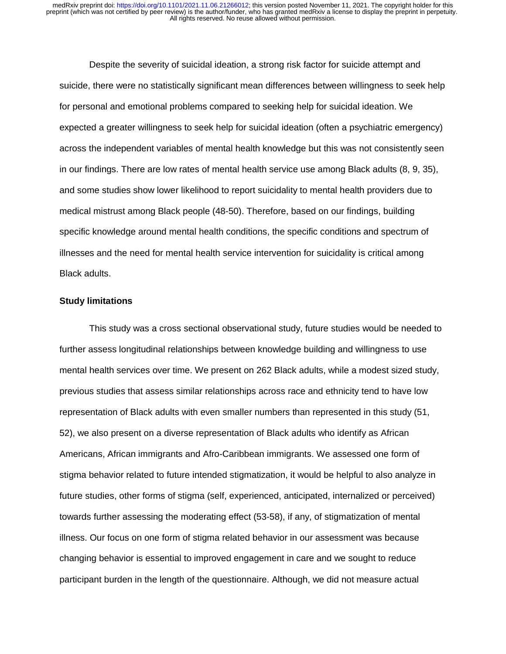Despite the severity of suicidal ideation, a strong risk factor for suicide attempt and suicide, there were no statistically significant mean differences between willingness to seek help for personal and emotional problems compared to seeking help for suicidal ideation. We expected a greater willingness to seek help for suicidal ideation (often a psychiatric emergency) across the independent variables of mental health knowledge but this was not consistently seen in our findings. There are low rates of mental health service use among Black adults (8, 9, 35), and some studies show lower likelihood to report suicidality to mental health providers due to medical mistrust among Black people (48-50). Therefore, based on our findings, building specific knowledge around mental health conditions, the specific conditions and spectrum of illnesses and the need for mental health service intervention for suicidality is critical among Black adults.

### **Study limitations**

This study was a cross sectional observational study, future studies would be needed to further assess longitudinal relationships between knowledge building and willingness to use mental health services over time. We present on 262 Black adults, while a modest sized study, previous studies that assess similar relationships across race and ethnicity tend to have low representation of Black adults with even smaller numbers than represented in this study (51, 52), we also present on a diverse representation of Black adults who identify as African Americans, African immigrants and Afro-Caribbean immigrants. We assessed one form of stigma behavior related to future intended stigmatization, it would be helpful to also analyze in future studies, other forms of stigma (self, experienced, anticipated, internalized or perceived) towards further assessing the moderating effect (53-58), if any, of stigmatization of mental illness. Our focus on one form of stigma related behavior in our assessment was because changing behavior is essential to improved engagement in care and we sought to reduce participant burden in the length of the questionnaire. Although, we did not measure actual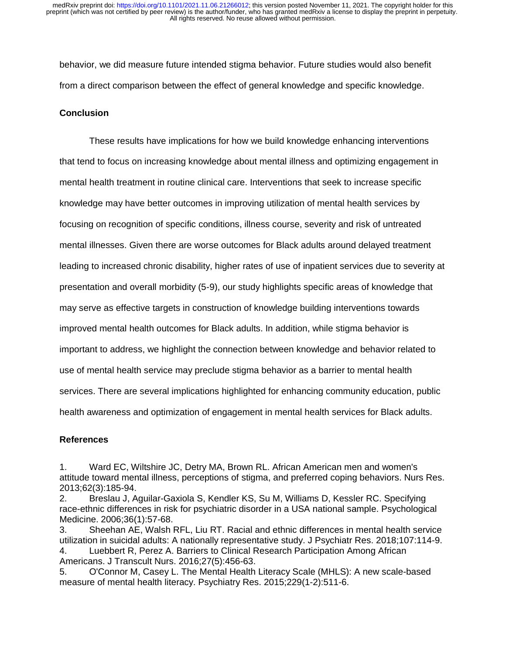behavior, we did measure future intended stigma behavior. Future studies would also benefit from a direct comparison between the effect of general knowledge and specific knowledge.

### **Conclusion**

These results have implications for how we build knowledge enhancing interventions that tend to focus on increasing knowledge about mental illness and optimizing engagement in mental health treatment in routine clinical care. Interventions that seek to increase specific knowledge may have better outcomes in improving utilization of mental health services by focusing on recognition of specific conditions, illness course, severity and risk of untreated mental illnesses. Given there are worse outcomes for Black adults around delayed treatment leading to increased chronic disability, higher rates of use of inpatient services due to severity at presentation and overall morbidity (5-9), our study highlights specific areas of knowledge that may serve as effective targets in construction of knowledge building interventions towards improved mental health outcomes for Black adults. In addition, while stigma behavior is important to address, we highlight the connection between knowledge and behavior related to use of mental health service may preclude stigma behavior as a barrier to mental health services. There are several implications highlighted for enhancing community education, public health awareness and optimization of engagement in mental health services for Black adults.

### **References**

1. Ward EC, Wiltshire JC, Detry MA, Brown RL. African American men and women's attitude toward mental illness, perceptions of stigma, and preferred coping behaviors. Nurs Res. 2013;62(3):185-94.

2. Breslau J, Aguilar-Gaxiola S, Kendler KS, Su M, Williams D, Kessler RC. Specifying race-ethnic differences in risk for psychiatric disorder in a USA national sample. Psychological Medicine. 2006;36(1):57-68.

3. Sheehan AE, Walsh RFL, Liu RT. Racial and ethnic differences in mental health service utilization in suicidal adults: A nationally representative study. J Psychiatr Res. 2018;107:114-9. 4. Luebbert R, Perez A. Barriers to Clinical Research Participation Among African Americans. J Transcult Nurs. 2016;27(5):456-63.

5. O'Connor M, Casey L. The Mental Health Literacy Scale (MHLS): A new scale-based measure of mental health literacy. Psychiatry Res. 2015;229(1-2):511-6.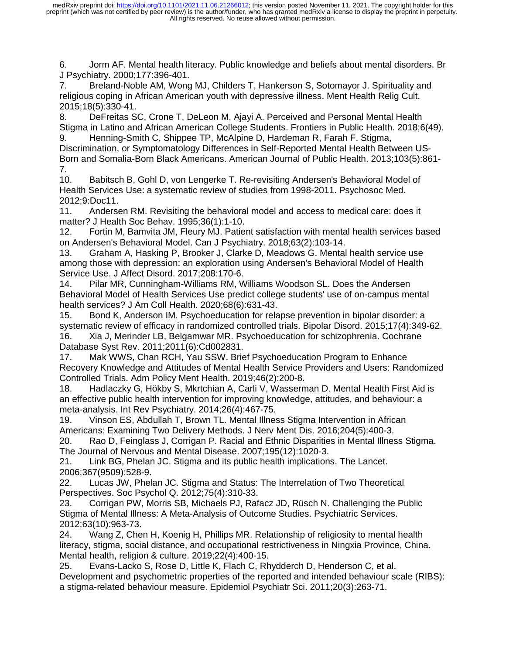6. Jorm AF. Mental health literacy. Public knowledge and beliefs about mental disorders. Br J Psychiatry. 2000;177:396-401.

7. Breland-Noble AM, Wong MJ, Childers T, Hankerson S, Sotomayor J. Spirituality and religious coping in African American youth with depressive illness. Ment Health Relig Cult. 2015;18(5):330-41.

8. DeFreitas SC, Crone T, DeLeon M, Ajayi A. Perceived and Personal Mental Health Stigma in Latino and African American College Students. Frontiers in Public Health. 2018;6(49). 9. Henning-Smith C, Shippee TP, McAlpine D, Hardeman R, Farah F. Stigma,

Discrimination, or Symptomatology Differences in Self-Reported Mental Health Between US-Born and Somalia-Born Black Americans. American Journal of Public Health. 2013;103(5):861- 7.

10. Babitsch B, Gohl D, von Lengerke T. Re-revisiting Andersen's Behavioral Model of Health Services Use: a systematic review of studies from 1998-2011. Psychosoc Med. 2012;9:Doc11.

11. Andersen RM. Revisiting the behavioral model and access to medical care: does it matter? J Health Soc Behav. 1995;36(1):1-10.

12. Fortin M, Bamvita JM, Fleury MJ. Patient satisfaction with mental health services based on Andersen's Behavioral Model. Can J Psychiatry. 2018;63(2):103-14.

13. Graham A, Hasking P, Brooker J, Clarke D, Meadows G. Mental health service use among those with depression: an exploration using Andersen's Behavioral Model of Health Service Use. J Affect Disord. 2017;208:170-6.

14. Pilar MR, Cunningham-Williams RM, Williams Woodson SL. Does the Andersen Behavioral Model of Health Services Use predict college students' use of on-campus mental health services? J Am Coll Health. 2020;68(6):631-43.

15. Bond K, Anderson IM. Psychoeducation for relapse prevention in bipolar disorder: a systematic review of efficacy in randomized controlled trials. Bipolar Disord. 2015;17(4):349-62. 16. Xia J, Merinder LB, Belgamwar MR. Psychoeducation for schizophrenia. Cochrane Database Syst Rev. 2011;2011(6):Cd002831.

17. Mak WWS, Chan RCH, Yau SSW. Brief Psychoeducation Program to Enhance Recovery Knowledge and Attitudes of Mental Health Service Providers and Users: Randomized Controlled Trials. Adm Policy Ment Health. 2019;46(2):200-8.

18. Hadlaczky G, Hökby S, Mkrtchian A, Carli V, Wasserman D. Mental Health First Aid is an effective public health intervention for improving knowledge, attitudes, and behaviour: a meta-analysis. Int Rev Psychiatry. 2014;26(4):467-75.

19. Vinson ES, Abdullah T, Brown TL. Mental Illness Stigma Intervention in African Americans: Examining Two Delivery Methods. J Nerv Ment Dis. 2016;204(5):400-3.

20. Rao D, Feinglass J, Corrigan P. Racial and Ethnic Disparities in Mental Illness Stigma. The Journal of Nervous and Mental Disease. 2007;195(12):1020-3.

21. Link BG, Phelan JC. Stigma and its public health implications. The Lancet. 2006;367(9509):528-9.

22. Lucas JW, Phelan JC. Stigma and Status: The Interrelation of Two Theoretical Perspectives. Soc Psychol Q. 2012;75(4):310-33.

23. Corrigan PW, Morris SB, Michaels PJ, Rafacz JD, Rüsch N. Challenging the Public Stigma of Mental Illness: A Meta-Analysis of Outcome Studies. Psychiatric Services. 2012;63(10):963-73.

24. Wang Z, Chen H, Koenig H, Phillips MR. Relationship of religiosity to mental health literacy, stigma, social distance, and occupational restrictiveness in Ningxia Province, China. Mental health, religion & culture. 2019;22(4):400-15.

25. Evans-Lacko S, Rose D, Little K, Flach C, Rhydderch D, Henderson C, et al. Development and psychometric properties of the reported and intended behaviour scale (RIBS): a stigma-related behaviour measure. Epidemiol Psychiatr Sci. 2011;20(3):263-71.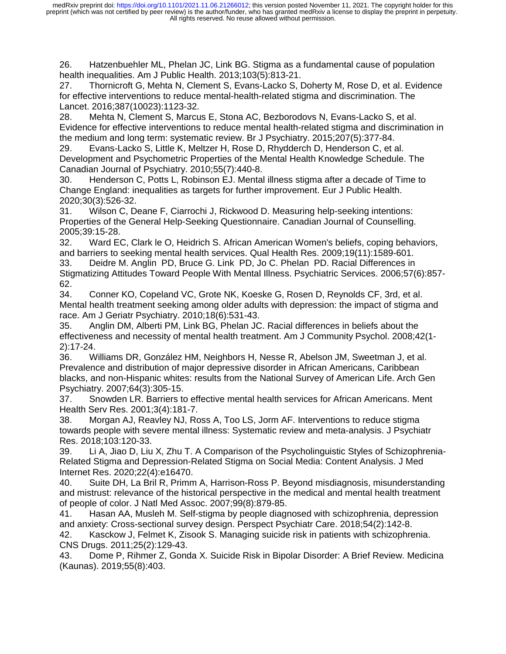26. Hatzenbuehler ML, Phelan JC, Link BG. Stigma as a fundamental cause of population health inequalities. Am J Public Health. 2013;103(5):813-21.

27. Thornicroft G, Mehta N, Clement S, Evans-Lacko S, Doherty M, Rose D, et al. Evidence for effective interventions to reduce mental-health-related stigma and discrimination. The Lancet. 2016;387(10023):1123-32.

28. Mehta N, Clement S, Marcus E, Stona AC, Bezborodovs N, Evans-Lacko S, et al. Evidence for effective interventions to reduce mental health-related stigma and discrimination in the medium and long term: systematic review. Br J Psychiatry. 2015;207(5):377-84.

29. Evans-Lacko S, Little K, Meltzer H, Rose D, Rhydderch D, Henderson C, et al. Development and Psychometric Properties of the Mental Health Knowledge Schedule. The Canadian Journal of Psychiatry. 2010;55(7):440-8.

30. Henderson C, Potts L, Robinson EJ. Mental illness stigma after a decade of Time to Change England: inequalities as targets for further improvement. Eur J Public Health. 2020;30(3):526-32.

31. Wilson C, Deane F, Ciarrochi J, Rickwood D. Measuring help-seeking intentions: Properties of the General Help-Seeking Questionnaire. Canadian Journal of Counselling. 2005;39:15-28.

32. Ward EC, Clark le O, Heidrich S. African American Women's beliefs, coping behaviors, and barriers to seeking mental health services. Qual Health Res. 2009;19(11):1589-601.

33. Deidre M. Anglin PD, Bruce G. Link PD, Jo C. Phelan PD. Racial Differences in Stigmatizing Attitudes Toward People With Mental Illness. Psychiatric Services. 2006;57(6):857- 62.

34. Conner KO, Copeland VC, Grote NK, Koeske G, Rosen D, Reynolds CF, 3rd, et al. Mental health treatment seeking among older adults with depression: the impact of stigma and race. Am J Geriatr Psychiatry. 2010;18(6):531-43.

35. Anglin DM, Alberti PM, Link BG, Phelan JC. Racial differences in beliefs about the effectiveness and necessity of mental health treatment. Am J Community Psychol. 2008;42(1- 2):17-24.

36. Williams DR, González HM, Neighbors H, Nesse R, Abelson JM, Sweetman J, et al. Prevalence and distribution of major depressive disorder in African Americans, Caribbean blacks, and non-Hispanic whites: results from the National Survey of American Life. Arch Gen Psychiatry. 2007;64(3):305-15.

37. Snowden LR. Barriers to effective mental health services for African Americans. Ment Health Serv Res. 2001;3(4):181-7.

38. Morgan AJ, Reavley NJ, Ross A, Too LS, Jorm AF. Interventions to reduce stigma towards people with severe mental illness: Systematic review and meta-analysis. J Psychiatr Res. 2018;103:120-33.

39. Li A, Jiao D, Liu X, Zhu T. A Comparison of the Psycholinguistic Styles of Schizophrenia-Related Stigma and Depression-Related Stigma on Social Media: Content Analysis. J Med Internet Res. 2020;22(4):e16470.

40. Suite DH, La Bril R, Primm A, Harrison-Ross P. Beyond misdiagnosis, misunderstanding and mistrust: relevance of the historical perspective in the medical and mental health treatment of people of color. J Natl Med Assoc. 2007;99(8):879-85.

41. Hasan AA, Musleh M. Self-stigma by people diagnosed with schizophrenia, depression and anxiety: Cross-sectional survey design. Perspect Psychiatr Care. 2018;54(2):142-8.

42. Kasckow J, Felmet K, Zisook S. Managing suicide risk in patients with schizophrenia. CNS Drugs. 2011;25(2):129-43.

43. Dome P, Rihmer Z, Gonda X. Suicide Risk in Bipolar Disorder: A Brief Review. Medicina (Kaunas). 2019;55(8):403.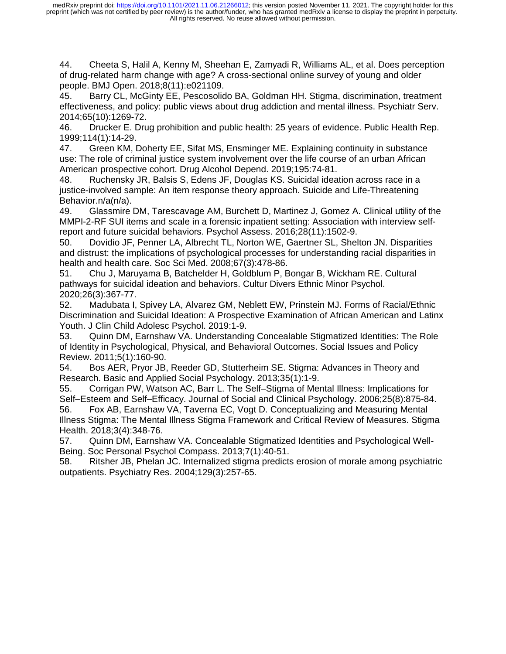44. Cheeta S, Halil A, Kenny M, Sheehan E, Zamyadi R, Williams AL, et al. Does perception of drug-related harm change with age? A cross-sectional online survey of young and older people. BMJ Open. 2018;8(11):e021109.

45. Barry CL, McGinty EE, Pescosolido BA, Goldman HH. Stigma, discrimination, treatment effectiveness, and policy: public views about drug addiction and mental illness. Psychiatr Serv. 2014;65(10):1269-72.

46. Drucker E. Drug prohibition and public health: 25 years of evidence. Public Health Rep. 1999;114(1):14-29.

47. Green KM, Doherty EE, Sifat MS, Ensminger ME. Explaining continuity in substance use: The role of criminal justice system involvement over the life course of an urban African American prospective cohort. Drug Alcohol Depend. 2019;195:74-81.

48. Ruchensky JR, Balsis S, Edens JF, Douglas KS. Suicidal ideation across race in a justice-involved sample: An item response theory approach. Suicide and Life-Threatening Behavior.n/a(n/a).

49. Glassmire DM, Tarescavage AM, Burchett D, Martinez J, Gomez A. Clinical utility of the MMPI-2-RF SUI items and scale in a forensic inpatient setting: Association with interview selfreport and future suicidal behaviors. Psychol Assess. 2016;28(11):1502-9.

50. Dovidio JF, Penner LA, Albrecht TL, Norton WE, Gaertner SL, Shelton JN. Disparities and distrust: the implications of psychological processes for understanding racial disparities in health and health care. Soc Sci Med. 2008;67(3):478-86.

51. Chu J, Maruyama B, Batchelder H, Goldblum P, Bongar B, Wickham RE. Cultural pathways for suicidal ideation and behaviors. Cultur Divers Ethnic Minor Psychol. 2020;26(3):367-77.

52. Madubata I, Spivey LA, Alvarez GM, Neblett EW, Prinstein MJ. Forms of Racial/Ethnic Discrimination and Suicidal Ideation: A Prospective Examination of African American and Latinx Youth. J Clin Child Adolesc Psychol. 2019:1-9.

53. Quinn DM, Earnshaw VA. Understanding Concealable Stigmatized Identities: The Role of Identity in Psychological, Physical, and Behavioral Outcomes. Social Issues and Policy Review. 2011;5(1):160-90.

54. Bos AER, Pryor JB, Reeder GD, Stutterheim SE. Stigma: Advances in Theory and Research. Basic and Applied Social Psychology. 2013;35(1):1-9.

55. Corrigan PW, Watson AC, Barr L. The Self–Stigma of Mental Illness: Implications for Self–Esteem and Self–Efficacy. Journal of Social and Clinical Psychology. 2006;25(8):875-84.

56. Fox AB, Earnshaw VA, Taverna EC, Vogt D. Conceptualizing and Measuring Mental Illness Stigma: The Mental Illness Stigma Framework and Critical Review of Measures. Stigma Health. 2018;3(4):348-76.

57. Quinn DM, Earnshaw VA. Concealable Stigmatized Identities and Psychological Well-Being. Soc Personal Psychol Compass. 2013;7(1):40-51.

58. Ritsher JB, Phelan JC. Internalized stigma predicts erosion of morale among psychiatric outpatients. Psychiatry Res. 2004;129(3):257-65.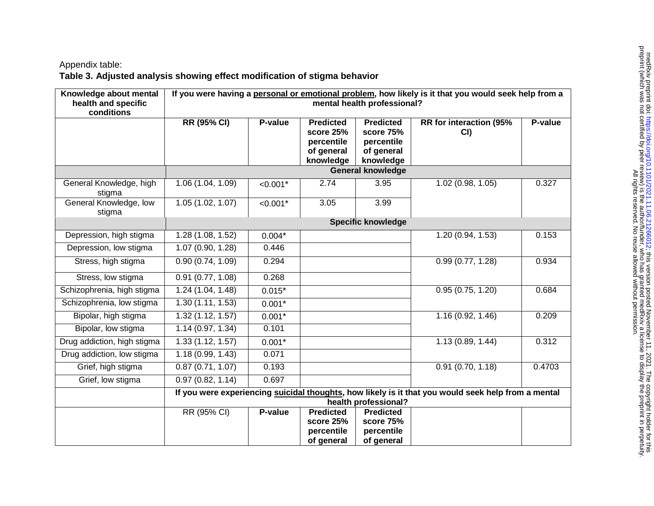# Appendix table: **Table 3. Adjusted analysis showing effect modification of stigma behavior**

| Knowledge about mental            | If you were having a personal or emotional problem, how likely is it that you would seek help from a |            |                                                                        |                                                                        |                               |         |
|-----------------------------------|------------------------------------------------------------------------------------------------------|------------|------------------------------------------------------------------------|------------------------------------------------------------------------|-------------------------------|---------|
| health and specific<br>conditions | mental health professional?                                                                          |            |                                                                        |                                                                        |                               |         |
|                                   | <b>RR</b> (95% CI)                                                                                   | P-value    | <b>Predicted</b><br>score 25%<br>percentile<br>of general<br>knowledge | <b>Predicted</b><br>score 75%<br>percentile<br>of general<br>knowledge | RR for interaction (95%<br>CI | P-value |
|                                   |                                                                                                      |            |                                                                        | <b>General knowledge</b>                                               |                               |         |
| General Knowledge, high<br>stigma | 1.06 (1.04, 1.09)                                                                                    | $< 0.001*$ | 2.74                                                                   | 3.95                                                                   | 1.02(0.98, 1.05)              | 0.327   |
| General Knowledge, low<br>stigma  | 1.05(1.02, 1.07)                                                                                     | $< 0.001*$ | 3.05                                                                   | 3.99                                                                   |                               |         |
|                                   | <b>Specific knowledge</b>                                                                            |            |                                                                        |                                                                        |                               |         |
| Depression, high stigma           | 1.28 (1.08, 1.52)                                                                                    | $0.004*$   |                                                                        |                                                                        | 1.20 (0.94, 1.53)             | 0.153   |
| Depression, low stigma            | 1.07 (0.90, 1.28)                                                                                    | 0.446      |                                                                        |                                                                        |                               |         |
| Stress, high stigma               | 0.90(0.74, 1.09)                                                                                     | 0.294      |                                                                        |                                                                        | 0.99(0.77, 1.28)              | 0.934   |
| Stress, low stigma                | 0.91(0.77, 1.08)                                                                                     | 0.268      |                                                                        |                                                                        |                               |         |
| Schizophrenia, high stigma        | 1.24 (1.04, 1.48)                                                                                    | $0.015*$   |                                                                        |                                                                        | 0.95(0.75, 1.20)              | 0.684   |
| Schizophrenia, low stigma         | 1.30(1.11, 1.53)                                                                                     | $0.001*$   |                                                                        |                                                                        |                               |         |
| Bipolar, high stigma              | 1.32(1.12, 1.57)                                                                                     | $0.001*$   |                                                                        |                                                                        | 1.16(0.92, 1.46)              | 0.209   |
| Bipolar, low stigma               | 1.14(0.97, 1.34)                                                                                     | 0.101      |                                                                        |                                                                        |                               |         |
| Drug addiction, high stigma       | 1.33(1.12, 1.57)                                                                                     | $0.001*$   |                                                                        |                                                                        | 1.13(0.89, 1.44)              | 0.312   |
| Drug addiction, low stigma        | 1.18(0.99, 1.43)                                                                                     | 0.071      |                                                                        |                                                                        |                               |         |
| Grief, high stigma                | 0.87(0.71, 1.07)                                                                                     | 0.193      |                                                                        |                                                                        | 0.91(0.70, 1.18)              | 0.4703  |
| Grief, low stigma                 | 0.97(0.82, 1.14)                                                                                     | 0.697      |                                                                        |                                                                        |                               |         |
|                                   | If you were experiencing suicidal thoughts, how likely is it that you would seek help from a mental  |            |                                                                        |                                                                        |                               |         |
|                                   | health professional?<br>RR (95% CI)<br>P-value<br><b>Predicted</b><br><b>Predicted</b>               |            |                                                                        |                                                                        |                               |         |
|                                   |                                                                                                      |            | score 25%                                                              | score 75%                                                              |                               |         |
|                                   |                                                                                                      |            | percentile                                                             | percentile                                                             |                               |         |
|                                   |                                                                                                      |            | of general                                                             | of general                                                             |                               |         |